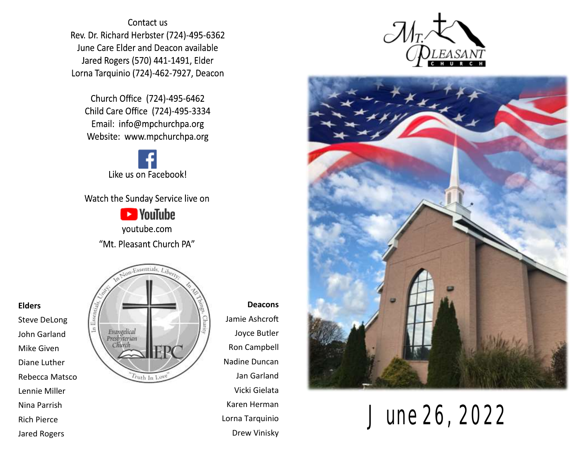Contact us Rev. Dr. Richard Herbster (724)-495-6362 June Care Elder and Deacon available Jared Rogers (570) 441-1491, Elder Lorna Tarquinio (724)-462-7927, Deacon

Church Office (724)-495-6462 Child Care Office (724)-495-3334 Email: info@mpchurchpa.org Website: www.mpchurchpa.org

Like us on Facebook!

Watch the Sunday Service live on

**Ex** YouTube youtube.com "Mt. Pleasant Church PA"



**Deacons** Jamie Ashcroft Joyce Butler Ron Campbell Nadine Duncan Jan Garland Vicki Gielata Karen Herman Lorna Tarquinio Drew Vinisky





June 26, 2022

#### **Elders**

Steve DeLong John Garland Mike Given Diane Luther Rebecca Matsco Lennie Miller Nina Parrish Rich Pierce Jared Rogers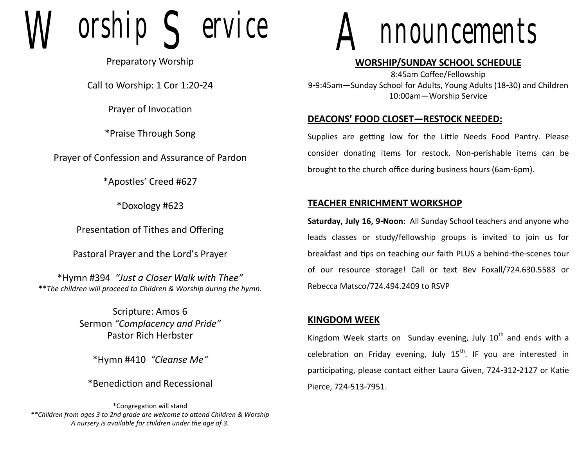orship  $\leq$  ervice

Preparatory Worship

Call to Worship: 1 Cor 1:20-24

Prayer of Invocation

\*Praise Through Song

Prayer of Confession and Assurance of Pardon

\*Apostles' Creed #627

\*Doxology #623

Presentation of Tithes and Offering

Pastoral Prayer and the Lord's Prayer

\*Hymn #394 *"Just a Closer Walk with Thee"* \*\**The children will proceed to Children & Worship during the hymn.*

> Scripture: Amos 6 Sermon *"Complacency and Pride"* Pastor Rich Herbster

\*Hymn #410 *"Cleanse Me"*

\*Benediction and Recessional

\*Congregation will stand *\*\*Children from ages 3 to 2nd grade are welcome to attend Children & Worship A nursery is available for children under the age of 3.*



### **WORSHIP/SUNDAY SCHOOL SCHEDULE**

8:45am Coffee/Fellowship 9-9:45am—Sunday School for Adults, Young Adults (18-30) and Children 10:00am—Worship Service

#### **DEACONS' FOOD CLOSET—RESTOCK NEEDED:**

Supplies are getting low for the Little Needs Food Pantry. Please consider donating items for restock. Non-perishable items can be brought to the church office during business hours (6am-6pm).

#### **TEACHER ENRICHMENT WORKSHOP**

**Saturday, July 16, 9-Noon**: All Sunday School teachers and anyone who leads classes or study/fellowship groups is invited to join us for breakfast and tips on teaching our faith PLUS a behind-the-scenes tour of our resource storage! Call or text Bev Foxall/724.630.5583 or Rebecca Matsco/724.494.2409 to RSVP

#### **KINGDOM WEEK**

Kingdom Week starts on Sunday evening, July  $10<sup>th</sup>$  and ends with a celebration on Friday evening, July  $15<sup>th</sup>$ . IF you are interested in participating, please contact either Laura Given, 724-312-2127 or Katie Pierce, 724-513-7951.